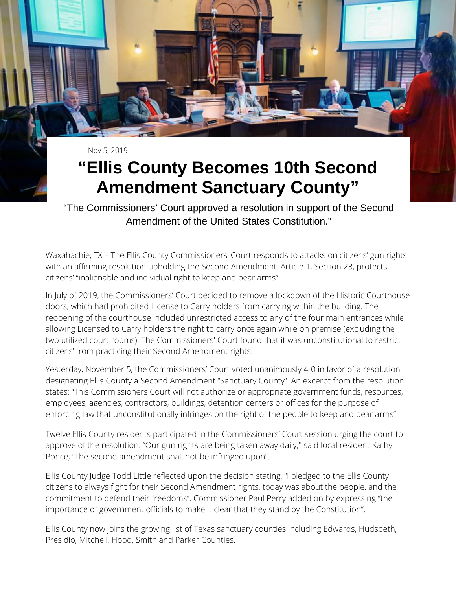Nov 5, 2019

## **"Ellis County Becomes 10th Second Amendment Sanctuary County"**

"The Commissioners' Court approved a resolution in support of the Second Amendment of the United States Constitution."

Waxahachie, TX – The Ellis County Commissioners' Court responds to attacks on citizens' gun rights with an affirming resolution upholding the Second Amendment. Article 1, Section 23, protects citizens' "inalienable and individual right to keep and bear arms".

In July of 2019, the Commissioners' Court decided to remove a lockdown of the Historic Courthouse doors, which had prohibited License to Carry holders from carrying within the building. The reopening of the courthouse included unrestricted access to any of the four main entrances while allowing Licensed to Carry holders the right to carry once again while on premise (excluding the two utilized court rooms). The Commissioners' Court found that it was unconstitutional to restrict citizens' from practicing their Second Amendment rights.

Yesterday, November 5, the Commissioners' Court voted unanimously 4-0 in favor of a resolution designating Ellis County a Second Amendment "Sanctuary County". An excerpt from the resolution states: "This Commissioners Court will not authorize or appropriate government funds, resources, employees, agencies, contractors, buildings, detention centers or offices for the purpose of enforcing law that unconstitutionally infringes on the right of the people to keep and bear arms".

Twelve Ellis County residents participated in the Commissioners' Court session urging the court to approve of the resolution. "Our gun rights are being taken away daily,'' said local resident Kathy Ponce, "The second amendment shall not be infringed upon".

Ellis County Judge Todd Little reflected upon the decision stating, "I pledged to the Ellis County citizens to always fight for their Second Amendment rights, today was about the people, and the commitment to defend their freedoms". Commissioner Paul Perry added on by expressing "the importance of government officials to make it clear that they stand by the Constitution".

Ellis County now joins the growing list of Texas sanctuary counties including Edwards, Hudspeth, Presidio, Mitchell, Hood, Smith and Parker Counties.